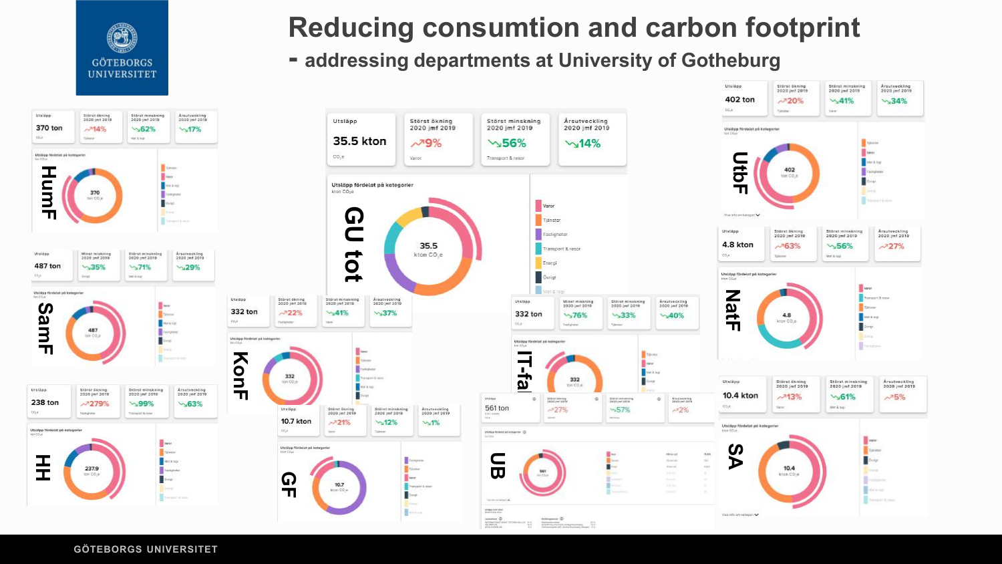

## **Reducing consumtion and carbon footprint**

Utsilies

#### **- addressing departments at University of Gotheburg**

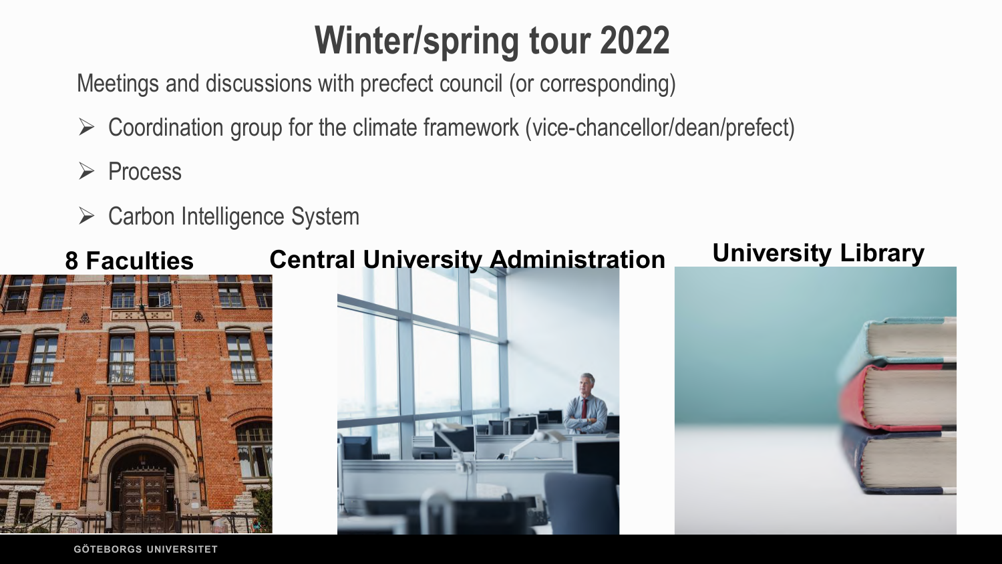# **Winter/spring tour 2022**

Meetings and discussions with precfect council (or corresponding)

- $\triangleright$  Coordination group for the climate framework (vice-chancellor/dean/prefect)
- $\triangleright$  Process
- $\triangleright$  Carbon Intelligence System

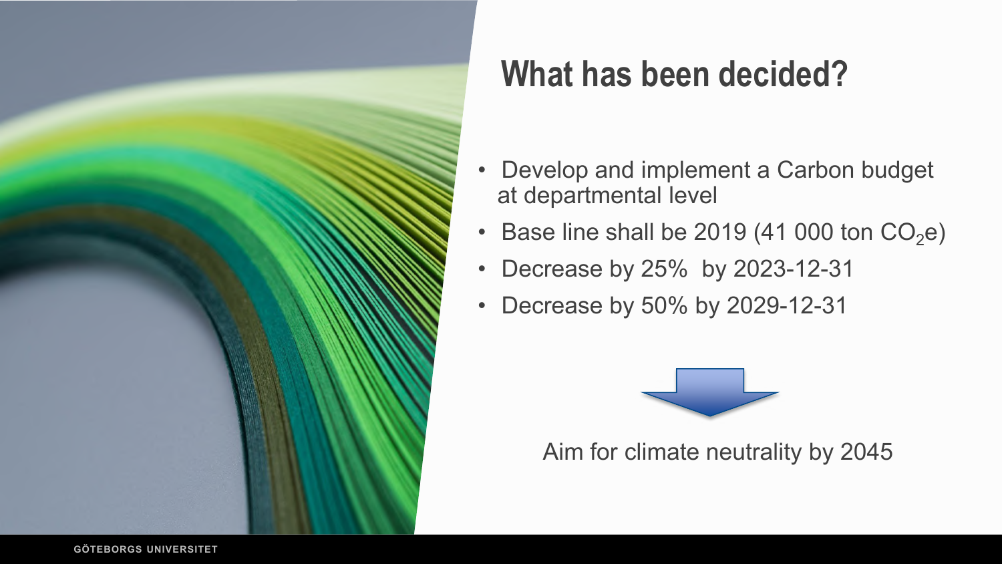

## **What has been decided?**

- Develop and implement a Carbon budget at departmental level
- Base line shall be 2019 (41 000 ton  $CO<sub>2</sub>e$ )
- Decrease by 25% by 2023-12-31
- Decrease by 50% by 2029-12-31



Aim for climate neutrality by 2045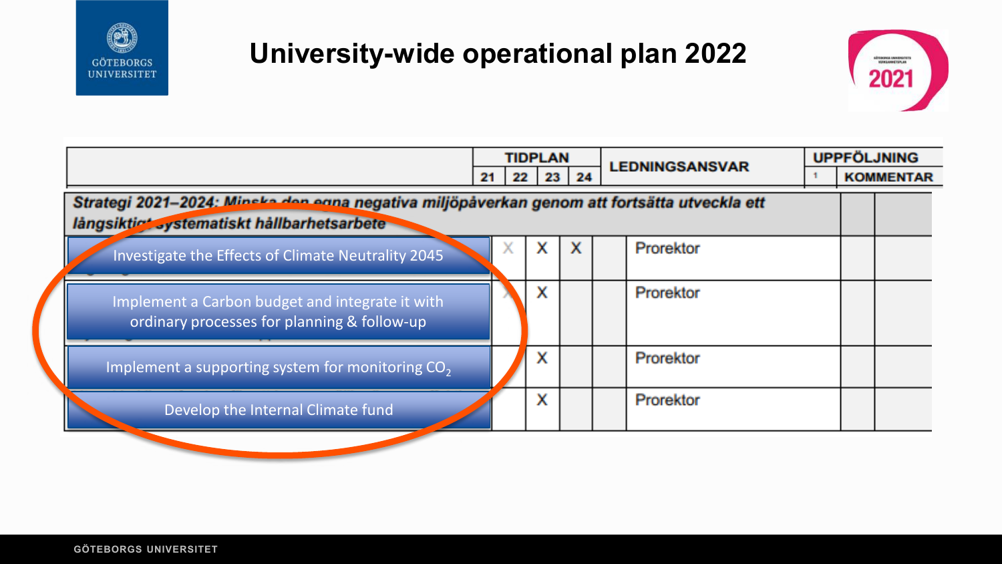

## **University-wide operational plan 2022**



|                                                                                                                                           | <b>TIDPLAN</b>      |  |   |                  | <b>LEDNINGSANSVAR</b> |  | <b>UPPFÖLJNING</b> |
|-------------------------------------------------------------------------------------------------------------------------------------------|---------------------|--|---|------------------|-----------------------|--|--------------------|
|                                                                                                                                           | 23 24<br>22  <br>21 |  |   | <b>KOMMENTAR</b> |                       |  |                    |
| Strategi 2021-2024: Minska den egna negativa miljöpåverkan genom att fortsätta utveckla ett<br>långsiktiet systematiskt hållbarhetsarbete |                     |  |   |                  |                       |  |                    |
| Investigate the Effects of Climate Neutrality 2045                                                                                        |                     |  | x | x                | Prorektor             |  |                    |
| Implement a Carbon budget and integrate it with<br>ordinary processes for planning & follow-up                                            |                     |  |   |                  | Prorektor             |  |                    |
| Implement a supporting system for monitoring CO <sub>2</sub>                                                                              |                     |  | x |                  | Prorektor             |  |                    |
| Develop the Internal Climate fund                                                                                                         |                     |  | x |                  | Prorektor             |  |                    |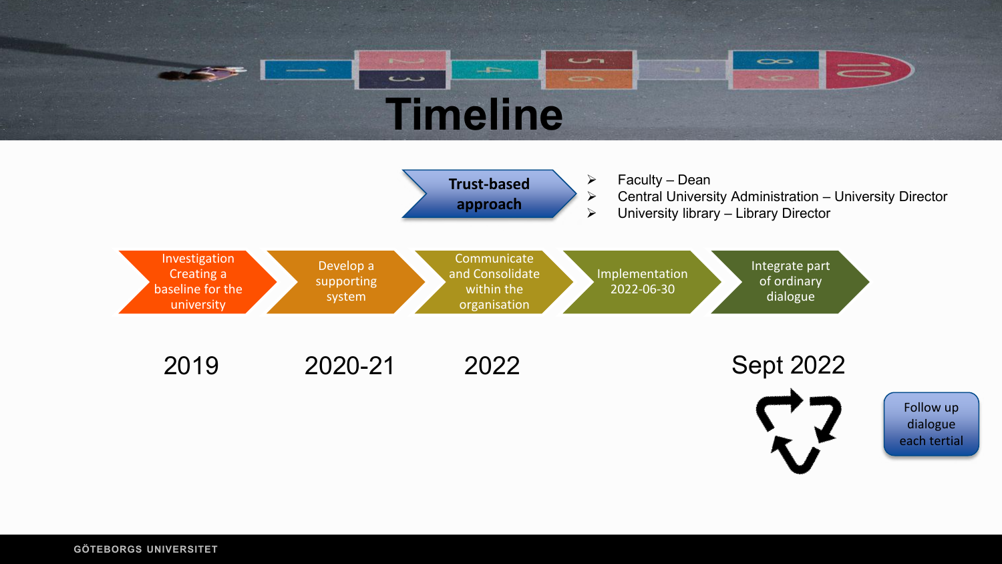



each tertial

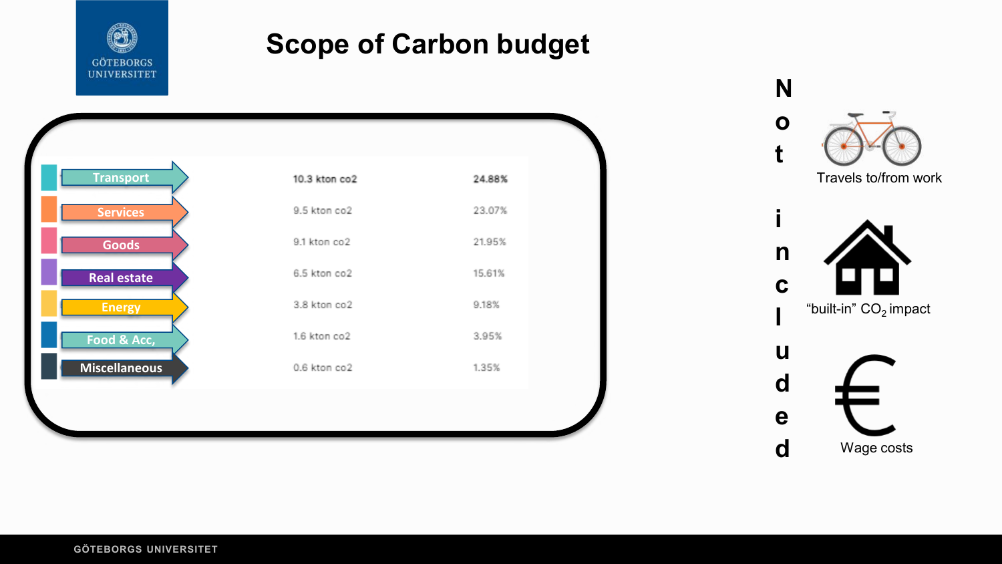

## **Scope of Carbon budget**



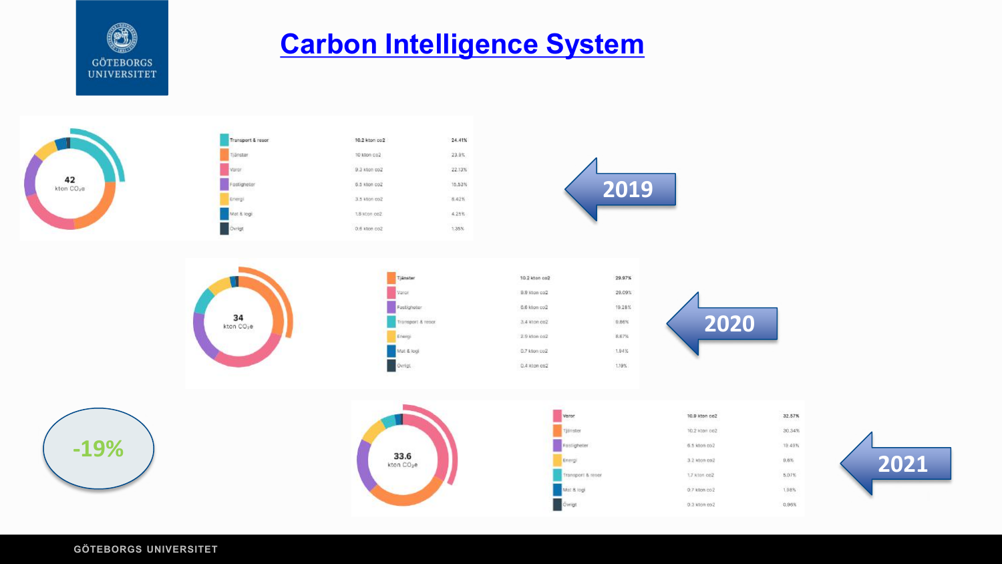

## **[Carbon Intelligence System](https://carbonintelligence.svalna.se/dashboard)**





32.57%

30.34%

1,98%

0.96%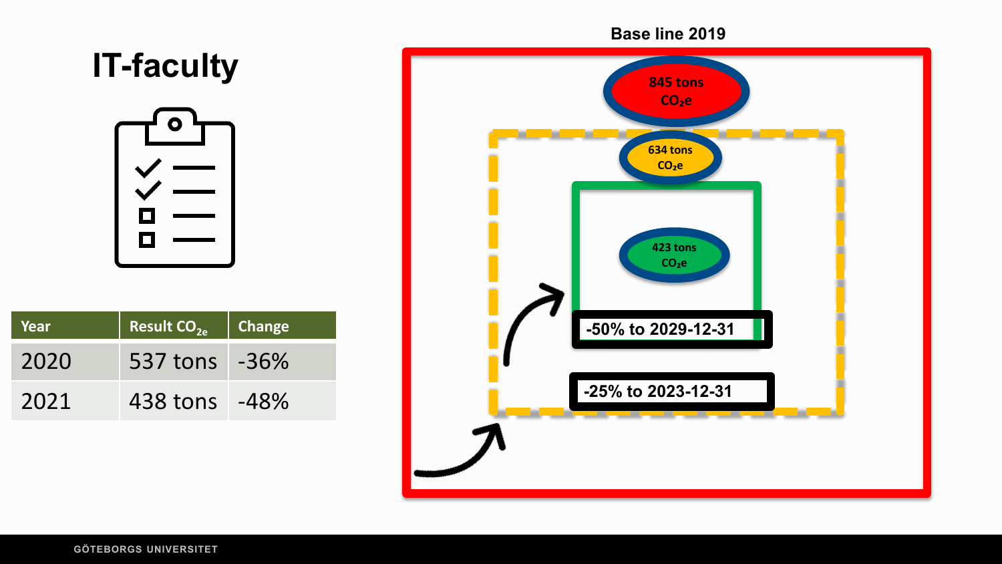

#### **GÖTEBORGS UNIVERSITET**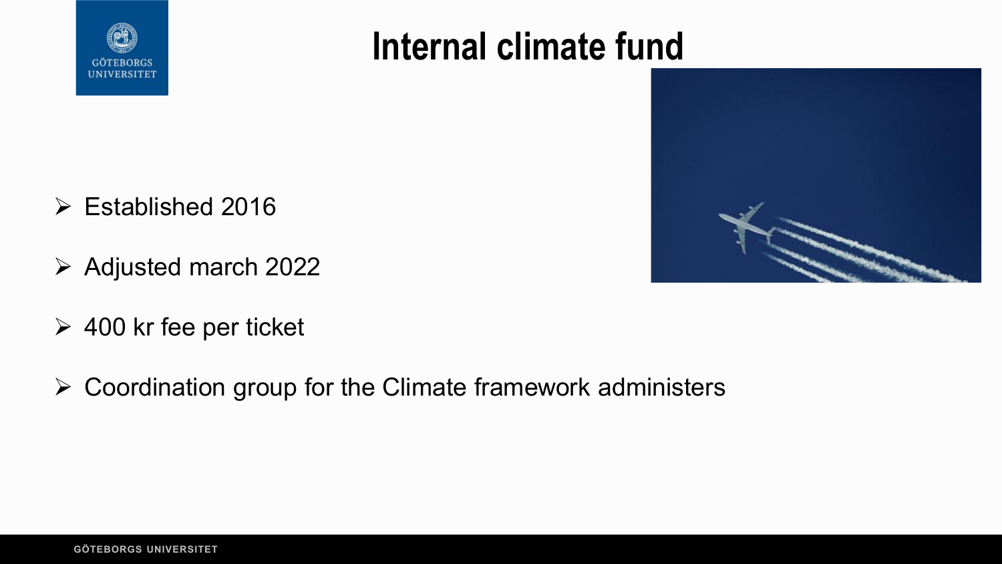

## **Internal climate fund**



- $\triangleright$  Established 2016
- $\triangleright$  Adjusted march 2022
- $\geq 400$  kr fee per ticket
- $\triangleright$  Coordination group for the Climate framework administers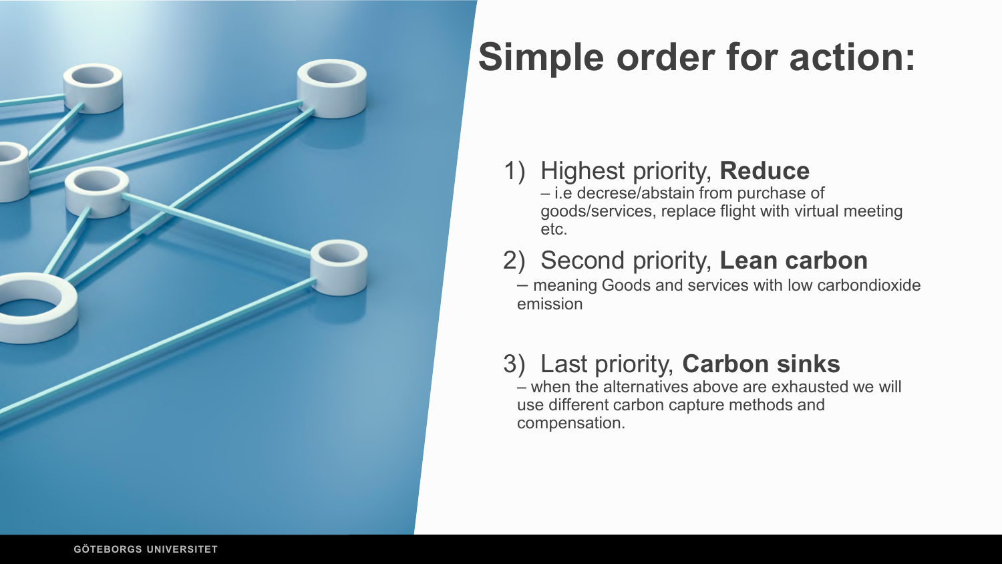

# **Simple order for action:**

### 1) Highest priority, **Reduce**

– i.e decrese/abstain from purchase of goods/services, replace flight with virtual meeting etc.

## 2) Second priority, **Lean carbon**

– meaning Goods and services with low carbondioxide emission

## 3) Last priority, **Carbon sinks**

 $-$  when the alternatives above are exhausted we will use different carbon capture methods and compensation.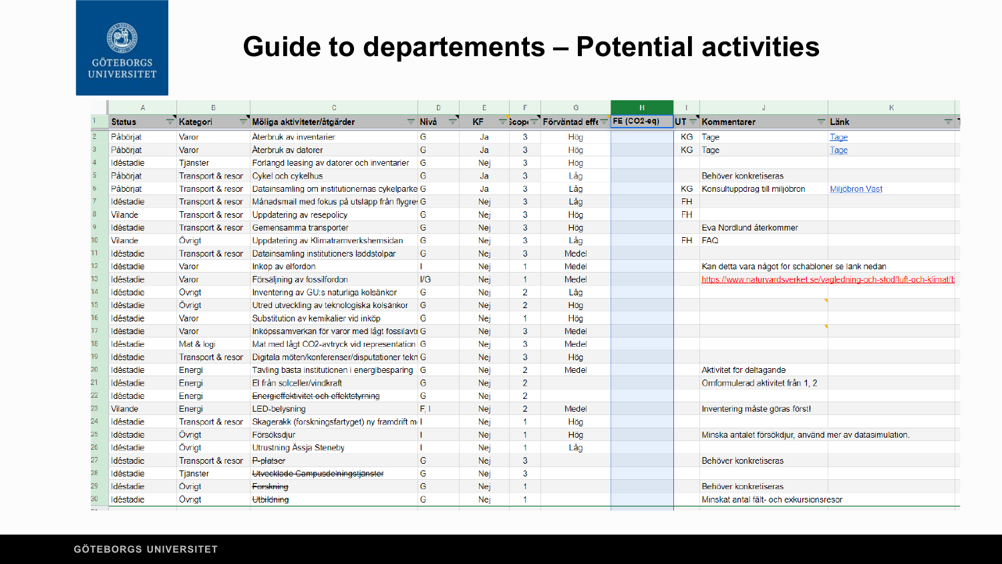

## **Guide to departements – Potential activities**

|    |               |                   |                                                 | D                  |           |                      | G                                                   | H |           |                                                          |                                                                       |    |
|----|---------------|-------------------|-------------------------------------------------|--------------------|-----------|----------------------|-----------------------------------------------------|---|-----------|----------------------------------------------------------|-----------------------------------------------------------------------|----|
|    | <b>Status</b> | $\equiv$ Kategori | $\equiv$ Möliga aktiviteter/åtgärder            | $\equiv$ Nivå<br>₹ | <b>KF</b> |                      | = $\frac{1}{2}$ cop( = Förväntad eff( = FE (CO2-eq) |   |           | $UT =$ Kommentarer                                       | $\equiv$ Länk                                                         | 三日 |
|    | Påbörjat      | Varor             | Återbruk av inventarier                         | G                  | Ja        | 3                    | Hög                                                 |   | KG        | Tage                                                     | Tage                                                                  |    |
|    | Påbörjat      | Varor             | Aterbruk av datorer                             | G                  | Ja        | 3                    | Hög                                                 |   | KG        | Tage                                                     | Tage                                                                  |    |
|    | Idéstadie     | Tjänster          | Förlängd leasing av datorer och inventarier     | G                  | Nej       | 3                    | Hög                                                 |   |           |                                                          |                                                                       |    |
|    | Påbörjat      | Transport & resor | Cykel och cykelhus                              | G                  | Ja        | 3                    | Låg                                                 |   |           | Behöver konkretiseras                                    |                                                                       |    |
|    | Påbörjat      | Transport & resor | Datainsamling om institutionernas cykelparke G  |                    | Ja        | 3                    | Låg                                                 |   | <b>KG</b> | Konsultuppdrag till miljöbron                            | Miliöbron Väst                                                        |    |
|    | Idéstadie     | Transport & resor | Månadsmail med fokus på utsläpp från flygre. G  |                    | Nej       | 3                    | Låg                                                 |   | <b>FH</b> |                                                          |                                                                       |    |
|    | Vilande       | Transport & resor | Uppdatering av resepolicy                       | G                  | Nej       | 3                    | Hög                                                 |   | <b>FH</b> |                                                          |                                                                       |    |
|    | Idéstadie     | Transport & resor | Gemensamma transporter                          | G                  | Nej       | 3                    | Hög                                                 |   |           | Eva Nordlund återkommer                                  |                                                                       |    |
| 10 | Vilande       | Övriat            | Uppdatering av Klimatramverkshemsidan           | G                  | Nej       | 3                    | Låg                                                 |   | FH.       | <b>FAQ</b>                                               |                                                                       |    |
| 11 | Idéstadie     | Transport & resor | Datainsamling institutioners laddstolpar        | G                  | Nej       | $\mathbf{3}$         | Medel                                               |   |           |                                                          |                                                                       |    |
| 12 | Idéstadie     | Varor             | Inköp av elfordon                               |                    | Nej       | $\mathbf{1}$         | Medel                                               |   |           | Kan detta vara något för schabloner se länk nedan        |                                                                       |    |
| 13 | Idéstadie     | Varor             | Försäljning av fossilfordon                     | $\mathsf{I/G}$     | Nej       | $\mathbf{1}$         | Medel                                               |   |           |                                                          | https://www.naturvardsverket.se/vagledning-och-stod/luft-och-klimat/b |    |
| 14 | Idéstadie     | Övrigt            | Inventering av GU:s naturliga kolsänkor         | G                  | Nej       | $\overline{2}$       | Låg                                                 |   |           |                                                          |                                                                       |    |
| 15 | Idéstadie     | Övrigt            | Utred utveckling av teknologiska kolsänkor      | G                  | Nej       | $\overline{2}$       | Hög                                                 |   |           |                                                          |                                                                       |    |
| 16 | Idéstadie     | Varor             | Substitution av kemikalier vid inköp            | G                  | Nej       | 1                    | Hög                                                 |   |           |                                                          |                                                                       |    |
| 17 | Idéstadie     | Varor             | Inköpssamverkan för varor med lågt fossilavti G |                    | Nej       | 3                    | Medel                                               |   |           |                                                          |                                                                       |    |
| 18 | Idéstadie     | Mat & logi        | Mat med lågt CO2-avtryck vid representation G   |                    | Nej       | $\overline{3}$       | Medel                                               |   |           |                                                          |                                                                       |    |
| 19 | Idéstadie     | Transport & resor | Digitala möten/konferenser/disputationer tekn G |                    | Nej       | 3                    | Hög                                                 |   |           |                                                          |                                                                       |    |
| 20 | Idéstadie     | Energi            | Tävling bästa institutionen i energibesparing G |                    | Nej       | $\overline{2}$       | Medel                                               |   |           | Aktivitet för deltagande                                 |                                                                       |    |
| 21 | Idéstadie     | Energi            | El från solceller/vindkraft                     | G                  | Nej       | $\overline{2}$       |                                                     |   |           | Omformulerad aktivitet från 1, 2                         |                                                                       |    |
| 22 | Idéstadie     | Energi            | Energieffektivitet och effektstyrning           | G                  | Nej       | $\overline{2}$       |                                                     |   |           |                                                          |                                                                       |    |
| 23 | Vilande       | Energi            | LED-belysning                                   | F, I               | Nej       | $\overline{2}$       | Medel                                               |   |           | Inventering måste göras först!                           |                                                                       |    |
| 24 | Idéstadie     | Transport & resor | Skagerakk (forskningsfartyget) ny framdrift m I |                    | Nej       | 1                    | Hög                                                 |   |           |                                                          |                                                                       |    |
| 25 | Idéstadie     | Övrigt            | Försöksdjur                                     |                    | Nej       | $\mathbf{1}$         | Hög                                                 |   |           | Minska antalet försökdjur, använd mer av datasimulation. |                                                                       |    |
| 26 | Idéstadie     | Övrigt            | Utrustning Ässja Steneby                        |                    | Nej       | $\blacktriangleleft$ | Låg                                                 |   |           |                                                          |                                                                       |    |
| 27 | Idéstadie     | Transport & resor | P-platser                                       | G                  | Nej       | $\mathbf{3}$         |                                                     |   |           | Behöver konkretiseras                                    |                                                                       |    |
| 28 | Idéstadie     | Tjänster          | Utvecklade Campusdelningstjänster               | G                  | Nej       | 3                    |                                                     |   |           |                                                          |                                                                       |    |
| 29 | Idéstadie     | Övrigt            | Forskning                                       | G                  | Nej       | 1                    |                                                     |   |           | Behöver konkretiseras                                    |                                                                       |    |
| 30 | Idéstadie     | Övrigt            | Utbildning                                      | G                  | Nej       |                      |                                                     |   |           | Minskat antal fält- och exkursionsresor                  |                                                                       |    |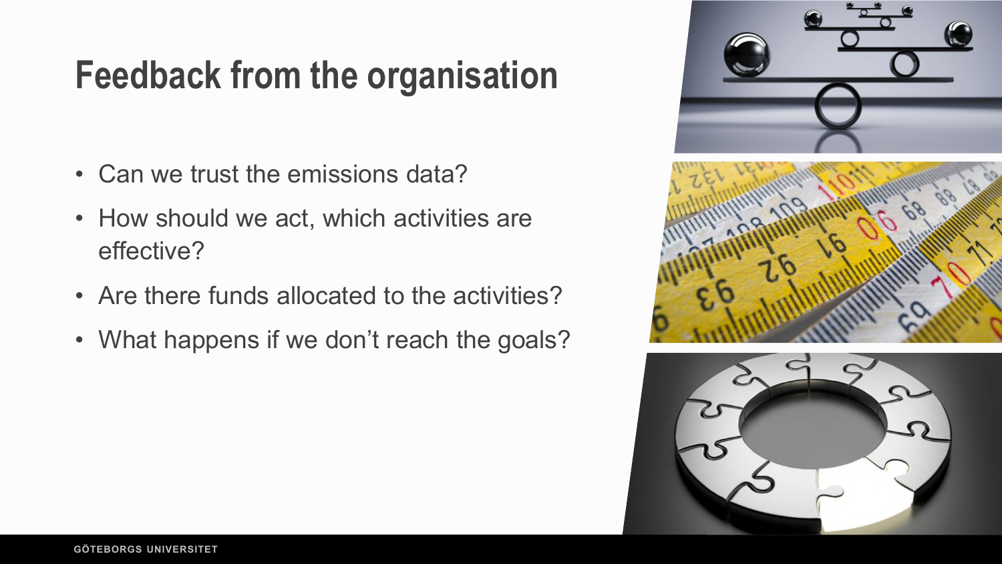# **Feedback from the organisation**

- Can we trust the emissions data?
- How should we act, which activities are effective?
- Are there funds allocated to the activities?
- What happens if we don't reach the goals?